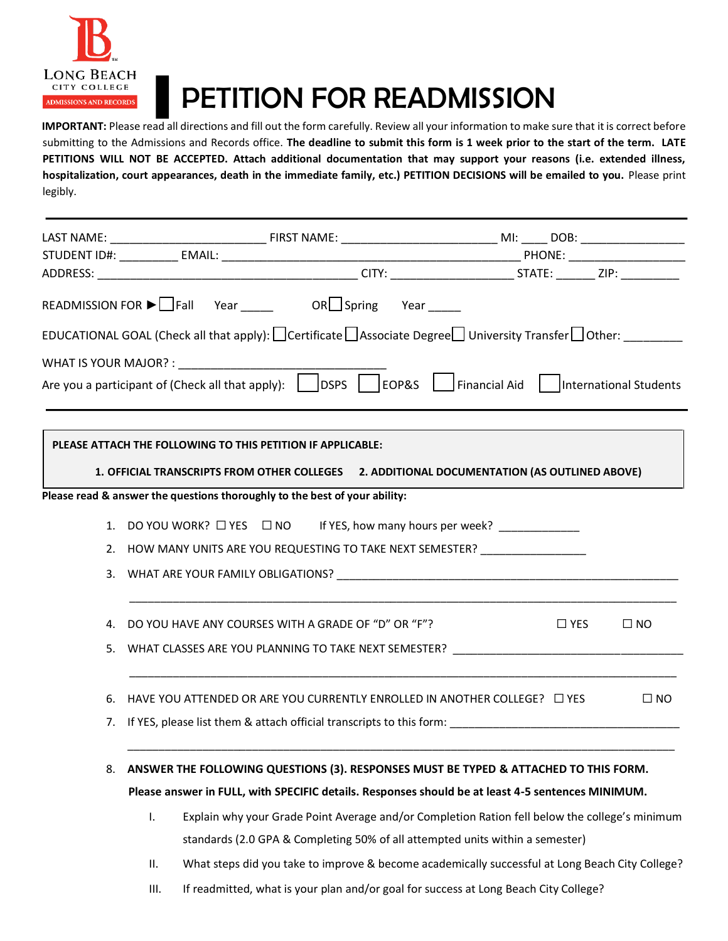

## PETITION FOR READMISSION

**IMPORTANT:** Please read all directions and fill out the form carefully. Review all your information to make sure that it is correct before submitting to the Admissions and Records office. **The deadline to submit this form is 1 week prior to the start of the term. LATE PETITIONS WILL NOT BE ACCEPTED. Attach additional documentation that may support your reasons (i.e. extended illness, hospitalization, court appearances, death in the immediate family, etc.) PETITION DECISIONS will be emailed to you.** Please print legibly.

|    | READMISSION FOR $\blacktriangleright$ Fall Year ______ OR Spring Year _____                                   |  |  |                                                                                   |                                                                                                                                        |           |
|----|---------------------------------------------------------------------------------------------------------------|--|--|-----------------------------------------------------------------------------------|----------------------------------------------------------------------------------------------------------------------------------------|-----------|
|    |                                                                                                               |  |  |                                                                                   | EDUCATIONAL GOAL (Check all that apply): $\Box$ Certificate $\Box$ Associate Degree $\Box$ University Transfer $\Box$ Other: _________ |           |
|    |                                                                                                               |  |  |                                                                                   |                                                                                                                                        |           |
|    |                                                                                                               |  |  |                                                                                   | Are you a participant of (Check all that apply): $\Box$ DSPS $\Box$ EOP&S $\Box$ Financial Aid $\Box$ International Students           |           |
|    |                                                                                                               |  |  |                                                                                   |                                                                                                                                        |           |
|    |                                                                                                               |  |  |                                                                                   |                                                                                                                                        |           |
|    | PLEASE ATTACH THE FOLLOWING TO THIS PETITION IF APPLICABLE:                                                   |  |  |                                                                                   |                                                                                                                                        |           |
|    |                                                                                                               |  |  |                                                                                   | 1. OFFICIAL TRANSCRIPTS FROM OTHER COLLEGES 2. ADDITIONAL DOCUMENTATION (AS OUTLINED ABOVE)                                            |           |
|    | Please read & answer the questions thoroughly to the best of your ability:                                    |  |  |                                                                                   |                                                                                                                                        |           |
|    |                                                                                                               |  |  | 1. DO YOU WORK? $\Box$ YES $\Box$ NO If YES, how many hours per week?             |                                                                                                                                        |           |
|    | 2. HOW MANY UNITS ARE YOU REQUESTING TO TAKE NEXT SEMESTER?                                                   |  |  |                                                                                   |                                                                                                                                        |           |
|    |                                                                                                               |  |  |                                                                                   |                                                                                                                                        |           |
|    |                                                                                                               |  |  |                                                                                   |                                                                                                                                        |           |
| 4. | DO YOU HAVE ANY COURSES WITH A GRADE OF "D" OR "F"?                                                           |  |  |                                                                                   | $\sqcup$ YES                                                                                                                           | $\Box$ NO |
| 5. |                                                                                                               |  |  |                                                                                   | WHAT CLASSES ARE YOU PLANNING TO TAKE NEXT SEMESTER? ____________________________                                                      |           |
|    |                                                                                                               |  |  |                                                                                   |                                                                                                                                        |           |
|    |                                                                                                               |  |  | 6. HAVE YOU ATTENDED OR ARE YOU CURRENTLY ENROLLED IN ANOTHER COLLEGE? $\Box$ YES |                                                                                                                                        | $\Box$ NO |
|    | 7. If YES, please list them & attach official transcripts to this form: The Common Commonwealth Common Common |  |  |                                                                                   |                                                                                                                                        |           |
|    |                                                                                                               |  |  |                                                                                   |                                                                                                                                        |           |
| 8. | ANSWER THE FOLLOWING QUESTIONS (3). RESPONSES MUST BE TYPED & ATTACHED TO THIS FORM.                          |  |  |                                                                                   |                                                                                                                                        |           |
|    | Please answer in FULL, with SPECIFIC details. Responses should be at least 4-5 sentences MINIMUM.             |  |  |                                                                                   |                                                                                                                                        |           |
|    | Explain why your Grade Point Average and/or Completion Ration fell below the college's minimum<br>Τ.          |  |  |                                                                                   |                                                                                                                                        |           |
|    | standards (2.0 GPA & Completing 50% of all attempted units within a semester)                                 |  |  |                                                                                   |                                                                                                                                        |           |
|    | Ш.                                                                                                            |  |  |                                                                                   | What steps did you take to improve & become academically successful at Long Beach City College?                                        |           |

III. If readmitted, what is your plan and/or goal for success at Long Beach City College?